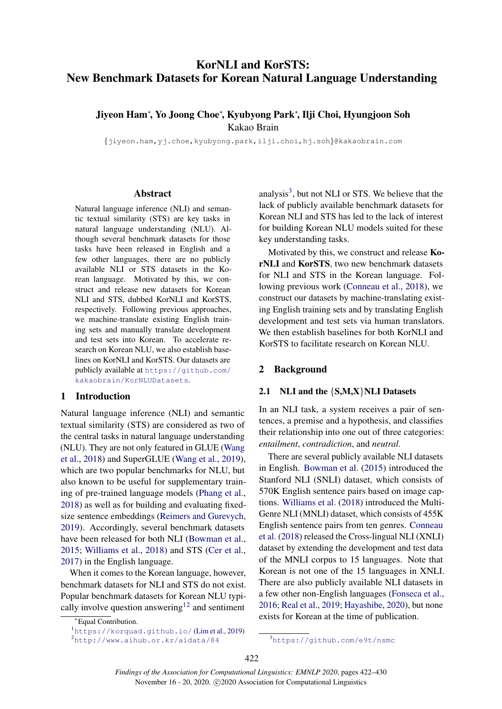# KorNLI and KorSTS: New Benchmark Datasets for Korean Natural Language Understanding

# Jiyeon Ham<sup>∗</sup> , Yo Joong Choe<sup>∗</sup> , Kyubyong Park<sup>∗</sup> , Ilji Choi, Hyungjoon Soh Kakao Brain

{jiyeon.ham,yj.choe,kyubyong.park,ilji.choi,hj.soh}@kakaobrain.com

#### Abstract

Natural language inference (NLI) and semantic textual similarity (STS) are key tasks in natural language understanding (NLU). Although several benchmark datasets for those tasks have been released in English and a few other languages, there are no publicly available NLI or STS datasets in the Korean language. Motivated by this, we construct and release new datasets for Korean NLI and STS, dubbed KorNLI and KorSTS, respectively. Following previous approaches, we machine-translate existing English training sets and manually translate development and test sets into Korean. To accelerate research on Korean NLU, we also establish baselines on KorNLI and KorSTS. Our datasets are publicly available at [https://github.com/](https://github.com/kakaobrain/KorNLUDatasets) [kakaobrain/KorNLUDatasets](https://github.com/kakaobrain/KorNLUDatasets).

### 1 Introduction

Natural language inference (NLI) and semantic textual similarity (STS) are considered as two of the central tasks in natural language understanding (NLU). They are not only featured in GLUE [\(Wang](#page-6-0) [et al.,](#page-6-0) [2018\)](#page-6-0) and SuperGLUE [\(Wang et al.,](#page-6-1) [2019\)](#page-6-1), which are two popular benchmarks for NLU, but also known to be useful for supplementary training of pre-trained language models [\(Phang et al.,](#page-5-0) [2018\)](#page-5-0) as well as for building and evaluating fixedsize sentence embeddings [\(Reimers and Gurevych,](#page-6-2) [2019\)](#page-6-2). Accordingly, several benchmark datasets have been released for both NLI [\(Bowman et al.,](#page-5-1) [2015;](#page-5-1) [Williams et al.,](#page-6-3) [2018\)](#page-6-3) and STS [\(Cer et al.,](#page-5-2) [2017\)](#page-5-2) in the English language.

When it comes to the Korean language, however, benchmark datasets for NLI and STS do not exist. Popular benchmark datasets for Korean NLU typi-cally involve question answering<sup>[1](#page-0-0)[2](#page-0-1)</sup> and sentiment

analysis $3$ , but not NLI or STS. We believe that the lack of publicly available benchmark datasets for Korean NLI and STS has led to the lack of interest for building Korean NLU models suited for these key understanding tasks.

Motivated by this, we construct and release KorNLI and KorSTS, two new benchmark datasets for NLI and STS in the Korean language. Following previous work [\(Conneau et al.,](#page-5-4) [2018\)](#page-5-4), we construct our datasets by machine-translating existing English training sets and by translating English development and test sets via human translators. We then establish baselines for both KorNLI and KorSTS to facilitate research on Korean NLU.

### 2 Background

#### 2.1 NLI and the  $\{S, M, X\}$ NLI Datasets

In an NLI task, a system receives a pair of sentences, a premise and a hypothesis, and classifies their relationship into one out of three categories: *entailment*, *contradiction*, and *neutral*.

There are several publicly available NLI datasets in English. [Bowman et al.](#page-5-1) [\(2015\)](#page-5-1) introduced the Stanford NLI (SNLI) dataset, which consists of 570K English sentence pairs based on image captions. [Williams et al.](#page-6-3) [\(2018\)](#page-6-3) introduced the Multi-Genre NLI (MNLI) dataset, which consists of 455K English sentence pairs from ten genres. [Conneau](#page-5-4) [et al.](#page-5-4) [\(2018\)](#page-5-4) released the Cross-lingual NLI (XNLI) dataset by extending the development and test data of the MNLI corpus to 15 languages. Note that Korean is not one of the 15 languages in XNLI. There are also publicly available NLI datasets in a few other non-English languages [\(Fonseca et al.,](#page-5-5) [2016;](#page-5-5) [Real et al.,](#page-5-6) [2019;](#page-5-6) [Hayashibe,](#page-5-7) [2020\)](#page-5-7), but none exists for Korean at the time of publication.

<sup>∗</sup>Equal Contribution.

<span id="page-0-1"></span><span id="page-0-0"></span><sup>1</sup><https://korquad.github.io/> [\(Lim et al.,](#page-5-3) [2019\)](#page-5-3) <sup>2</sup><http://www.aihub.or.kr/aidata/84>

<span id="page-0-2"></span><sup>3</sup><https://github.com/e9t/nsmc>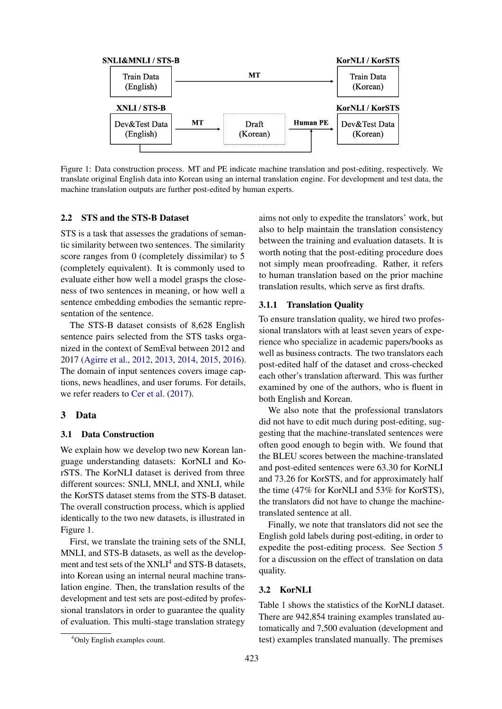<span id="page-1-0"></span>

Figure 1: Data construction process. MT and PE indicate machine translation and post-editing, respectively. We translate original English data into Korean using an internal translation engine. For development and test data, the machine translation outputs are further post-edited by human experts.

### 2.2 STS and the STS-B Dataset

STS is a task that assesses the gradations of semantic similarity between two sentences. The similarity score ranges from 0 (completely dissimilar) to 5 (completely equivalent). It is commonly used to evaluate either how well a model grasps the closeness of two sentences in meaning, or how well a sentence embedding embodies the semantic representation of the sentence.

The STS-B dataset consists of 8,628 English sentence pairs selected from the STS tasks organized in the context of SemEval between 2012 and 2017 [\(Agirre et al.,](#page-5-8) [2012,](#page-5-8) [2013,](#page-5-9) [2014,](#page-4-0) [2015,](#page-4-1) [2016\)](#page-4-2). The domain of input sentences covers image captions, news headlines, and user forums. For details, we refer readers to [Cer et al.](#page-5-2) [\(2017\)](#page-5-2).

#### 3 Data

#### 3.1 Data Construction

We explain how we develop two new Korean language understanding datasets: KorNLI and KorSTS. The KorNLI dataset is derived from three different sources: SNLI, MNLI, and XNLI, while the KorSTS dataset stems from the STS-B dataset. The overall construction process, which is applied identically to the two new datasets, is illustrated in Figure [1.](#page-1-0)

First, we translate the training sets of the SNLI, MNLI, and STS-B datasets, as well as the develop-ment and test sets of the XNLI<sup>[4](#page-1-1)</sup> and STS-B datasets, into Korean using an internal neural machine translation engine. Then, the translation results of the development and test sets are post-edited by professional translators in order to guarantee the quality of evaluation. This multi-stage translation strategy

aims not only to expedite the translators' work, but also to help maintain the translation consistency between the training and evaluation datasets. It is worth noting that the post-editing procedure does not simply mean proofreading. Rather, it refers to human translation based on the prior machine translation results, which serve as first drafts.

#### 3.1.1 Translation Quality

To ensure translation quality, we hired two professional translators with at least seven years of experience who specialize in academic papers/books as well as business contracts. The two translators each post-edited half of the dataset and cross-checked each other's translation afterward. This was further examined by one of the authors, who is fluent in both English and Korean.

We also note that the professional translators did not have to edit much during post-editing, suggesting that the machine-translated sentences were often good enough to begin with. We found that the BLEU scores between the machine-translated and post-edited sentences were 63.30 for KorNLI and 73.26 for KorSTS, and for approximately half the time (47% for KorNLI and 53% for KorSTS), the translators did not have to change the machinetranslated sentence at all.

Finally, we note that translators did not see the English gold labels during post-editing, in order to expedite the post-editing process. See Section [5](#page-4-3) for a discussion on the effect of translation on data quality.

#### 3.2 KorNLI

Table [1](#page-2-0) shows the statistics of the KorNLI dataset. There are 942,854 training examples translated automatically and 7,500 evaluation (development and test) examples translated manually. The premises

<span id="page-1-1"></span><sup>4</sup>Only English examples count.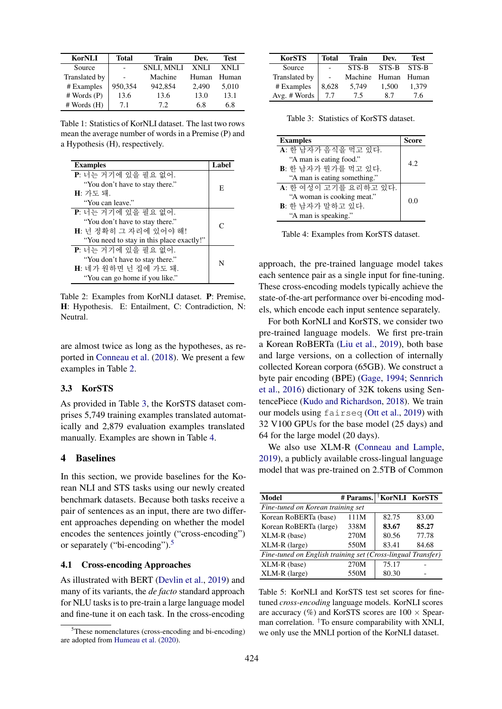<span id="page-2-0"></span>

| <b>KorNLI</b> | <b>Total</b> | <b>Train</b>      | Dev.  | <b>Test</b> |
|---------------|--------------|-------------------|-------|-------------|
| Source        | ٠            | <b>SNLI. MNLI</b> | XNLI  | XNLI        |
| Translated by |              | Machine           | Human | Human       |
| # Examples    | 950.354      | 942,854           | 2.490 | 5,010       |
| # Words (P)   | 13.6         | 13.6              | 13.0  | 13.1        |
| # Words(H)    | 7.1          | 72                | 6.8   | 6.8         |

Table 1: Statistics of KorNLI dataset. The last two rows mean the average number of words in a Premise (P) and a Hypothesis (H), respectively.

<span id="page-2-1"></span>

| <b>Examples</b>                           | Label     |
|-------------------------------------------|-----------|
| P: 너는 거기에 있을 필요 없어.                       |           |
| "You don't have to stay there."           | E         |
| H: 가도 돼.                                  |           |
| "You can leave."                          |           |
| P: 너는 거기에 있을 필요 없어.                       |           |
| "You don't have to stay there."           | $\subset$ |
| H: 넌 정확히 그 자리에 있어야 해!                     |           |
| "You need to stay in this place exactly!" |           |
| P: 너는 거기에 있을 필요 없어.                       |           |
| "You don't have to stay there."           | N         |
| H: 네가 원하면 넌 집에 가도 돼.                      |           |
| "You can go home if you like."            |           |

Table 2: Examples from KorNLI dataset. P: Premise, H: Hypothesis. E: Entailment, C: Contradiction, N: Neutral.

are almost twice as long as the hypotheses, as reported in [Conneau et al.](#page-5-4) [\(2018\)](#page-5-4). We present a few examples in Table [2.](#page-2-1)

### 3.3 KorSTS

As provided in Table [3,](#page-2-2) the KorSTS dataset comprises 5,749 training examples translated automatically and 2,879 evaluation examples translated manually. Examples are shown in Table [4.](#page-2-3)

### <span id="page-2-7"></span>4 Baselines

In this section, we provide baselines for the Korean NLI and STS tasks using our newly created benchmark datasets. Because both tasks receive a pair of sentences as an input, there are two different approaches depending on whether the model encodes the sentences jointly ("cross-encoding") or separately ("bi-encoding").<sup>[5](#page-2-4)</sup>

#### <span id="page-2-6"></span>4.1 Cross-encoding Approaches

As illustrated with BERT [\(Devlin et al.,](#page-5-10) [2019\)](#page-5-10) and many of its variants, the *de facto* standard approach for NLU tasks is to pre-train a large language model and fine-tune it on each task. In the cross-encoding

<span id="page-2-2"></span>

| <b>KorSTS</b> | <b>Total</b> | Train   | Dev.  | <b>Test</b> |
|---------------|--------------|---------|-------|-------------|
| Source        |              | STS-B   | STS-B | STS-B       |
| Translated by |              | Machine | Human | Human       |
| # Examples    | 8,628        | 5.749   | 1.500 | 1,379       |
| Avg. # Words  | 77           | 75      | 87    | 7.6         |

Table 3: Statistics of KorSTS dataset.

<span id="page-2-3"></span>

| <b>Examples</b>              | Score |
|------------------------------|-------|
| A: 한 남자가 음식을 먹고 있다.          |       |
| "A man is eating food."      | 4.2   |
| B: 한 남자가 뭐가를 먹고 있다.          |       |
| "A man is eating something." |       |
| A: 한 여성이 고기를 요리하고 있다.        |       |
| "A woman is cooking meat."   | 0.0   |
| B: 한 남자가 말하고 있다.             |       |
| "A man is speaking."         |       |

Table 4: Examples from KorSTS dataset.

approach, the pre-trained language model takes each sentence pair as a single input for fine-tuning. These cross-encoding models typically achieve the state-of-the-art performance over bi-encoding models, which encode each input sentence separately.

For both KorNLI and KorSTS, we consider two pre-trained language models. We first pre-train a Korean RoBERTa [\(Liu et al.,](#page-5-12) [2019\)](#page-5-12), both base and large versions, on a collection of internally collected Korean corpora (65GB). We construct a byte pair encoding (BPE) [\(Gage,](#page-5-13) [1994;](#page-5-13) [Sennrich](#page-6-4) [et al.,](#page-6-4) [2016\)](#page-6-4) dictionary of 32K tokens using SentencePiece [\(Kudo and Richardson,](#page-5-14) [2018\)](#page-5-14). We train our models using fairseq [\(Ott et al.,](#page-5-15) [2019\)](#page-5-15) with 32 V100 GPUs for the base model (25 days) and 64 for the large model (20 days).

We also use XLM-R [\(Conneau and Lample,](#page-5-16) [2019\)](#page-5-16), a publicly available cross-lingual language model that was pre-trained on 2.5TB of Common

<span id="page-2-5"></span>

| Model                                                       | # Params. FKorNLI KorSTS |       |       |  |
|-------------------------------------------------------------|--------------------------|-------|-------|--|
| Fine-tuned on Korean training set                           |                          |       |       |  |
| Korean RoBERTa (base)                                       | 111M                     | 82.75 | 83.00 |  |
| Korean RoBERTa (large)                                      | 338M                     | 83.67 | 85.27 |  |
| XLM-R (base)                                                | 270M                     | 80.56 | 77.78 |  |
| XLM-R (large)                                               | 550M                     | 83.41 | 84.68 |  |
| Fine-tuned on English training set (Cross-lingual Transfer) |                          |       |       |  |
| XLM-R (base)                                                | 270M                     | 75.17 |       |  |
| $XLM-R$ (large)                                             | 550M                     | 80.30 |       |  |

Table 5: KorNLI and KorSTS test set scores for finetuned *cross-encoding* language models. KorNLI scores are accuracy (%) and KorSTS scores are  $100 \times$  Spearman correlation.  $\dagger$ To ensure comparability with XNLI, we only use the MNLI portion of the KorNLI dataset.

<span id="page-2-4"></span> $5$ These nomenclatures (cross-encoding and bi-encoding) are adopted from [Humeau et al.](#page-5-11) [\(2020\)](#page-5-11).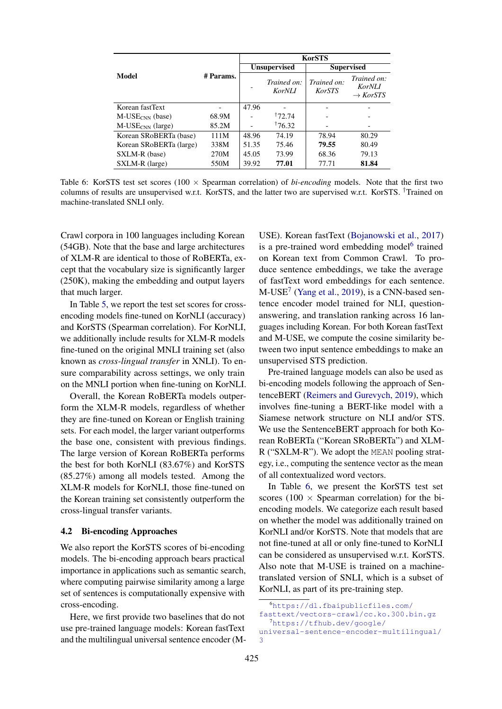<span id="page-3-2"></span>

|                              |           | <b>KorSTS</b>       |                              |                              |                                                      |
|------------------------------|-----------|---------------------|------------------------------|------------------------------|------------------------------------------------------|
| Model                        |           | <b>Unsupervised</b> |                              | <b>Supervised</b>            |                                                      |
|                              | # Params. |                     | Trained on:<br><b>KorNLI</b> | Trained on:<br><b>KorSTS</b> | Trained on:<br><b>KorNLI</b><br>$\rightarrow$ KorSTS |
| Korean fastText              |           | 47.96               |                              |                              |                                                      |
| $M\text{-}USE_{CNN}$ (base)  | 68.9M     |                     | <sup>†</sup> 72.74           |                              |                                                      |
| M-USE <sub>CNN</sub> (large) | 85.2M     |                     | 176.32                       |                              |                                                      |
| Korean SRoBERTa (base)       | 111M      | 48.96               | 74.19                        | 78.94                        | 80.29                                                |
| Korean SRoBERTa (large)      | 338M      | 51.35               | 75.46                        | 79.55                        | 80.49                                                |
| SXLM-R (base)                | 270M      | 45.05               | 73.99                        | 68.36                        | 79.13                                                |
| SXLM-R (large)               | 550M      | 39.92               | 77.01                        | 77.71                        | 81.84                                                |

Table 6: KorSTS test set scores ( $100 \times$  Spearman correlation) of *bi-encoding* models. Note that the first two columns of results are unsupervised w.r.t. KorSTS, and the latter two are supervised w.r.t. KorSTS. †Trained on machine-translated SNLI only.

Crawl corpora in 100 languages including Korean (54GB). Note that the base and large architectures of XLM-R are identical to those of RoBERTa, except that the vocabulary size is significantly larger (250K), making the embedding and output layers that much larger.

In Table [5,](#page-2-5) we report the test set scores for crossencoding models fine-tuned on KorNLI (accuracy) and KorSTS (Spearman correlation). For KorNLI, we additionally include results for XLM-R models fine-tuned on the original MNLI training set (also known as *cross-lingual transfer* in XNLI). To ensure comparability across settings, we only train on the MNLI portion when fine-tuning on KorNLI.

Overall, the Korean RoBERTa models outperform the XLM-R models, regardless of whether they are fine-tuned on Korean or English training sets. For each model, the larger variant outperforms the base one, consistent with previous findings. The large version of Korean RoBERTa performs the best for both KorNLI (83.67%) and KorSTS (85.27%) among all models tested. Among the XLM-R models for KorNLI, those fine-tuned on the Korean training set consistently outperform the cross-lingual transfer variants.

### <span id="page-3-3"></span>4.2 Bi-encoding Approaches

We also report the KorSTS scores of bi-encoding models. The bi-encoding approach bears practical importance in applications such as semantic search, where computing pairwise similarity among a large set of sentences is computationally expensive with cross-encoding.

Here, we first provide two baselines that do not use pre-trained language models: Korean fastText and the multilingual universal sentence encoder (M-

USE). Korean fastText [\(Bojanowski et al.,](#page-5-17) [2017\)](#page-5-17) is a pre-trained word embedding model<sup>[6](#page-3-0)</sup> trained on Korean text from Common Crawl. To produce sentence embeddings, we take the average of fastText word embeddings for each sentence. M-USE<sup>[7](#page-3-1)</sup> [\(Yang et al.,](#page-6-5) [2019\)](#page-6-5), is a CNN-based sentence encoder model trained for NLI, questionanswering, and translation ranking across 16 languages including Korean. For both Korean fastText and M-USE, we compute the cosine similarity between two input sentence embeddings to make an unsupervised STS prediction.

Pre-trained language models can also be used as bi-encoding models following the approach of SentenceBERT [\(Reimers and Gurevych,](#page-6-2) [2019\)](#page-6-2), which involves fine-tuning a BERT-like model with a Siamese network structure on NLI and/or STS. We use the SentenceBERT approach for both Korean RoBERTa ("Korean SRoBERTa") and XLM-R ("SXLM-R"). We adopt the MEAN pooling strategy, i.e., computing the sentence vector as the mean of all contextualized word vectors.

In Table [6,](#page-3-2) we present the KorSTS test set scores (100  $\times$  Spearman correlation) for the biencoding models. We categorize each result based on whether the model was additionally trained on KorNLI and/or KorSTS. Note that models that are not fine-tuned at all or only fine-tuned to KorNLI can be considered as unsupervised w.r.t. KorSTS. Also note that M-USE is trained on a machinetranslated version of SNLI, which is a subset of KorNLI, as part of its pre-training step.

<span id="page-3-0"></span><sup>6</sup>[https://dl.fbaipublicfiles.com/](https://dl.fbaipublicfiles.com/fasttext/vectors-crawl/cc.ko.300.bin.gz) [fasttext/vectors-crawl/cc.ko.300.bin.gz](https://dl.fbaipublicfiles.com/fasttext/vectors-crawl/cc.ko.300.bin.gz)  $7$ [https://tfhub.dev/google/](https://tfhub.dev/google/universal-sentence-encoder-multilingual/3)

<span id="page-3-1"></span>[universal-sentence-encoder-multilingual/](https://tfhub.dev/google/universal-sentence-encoder-multilingual/3) [3](https://tfhub.dev/google/universal-sentence-encoder-multilingual/3)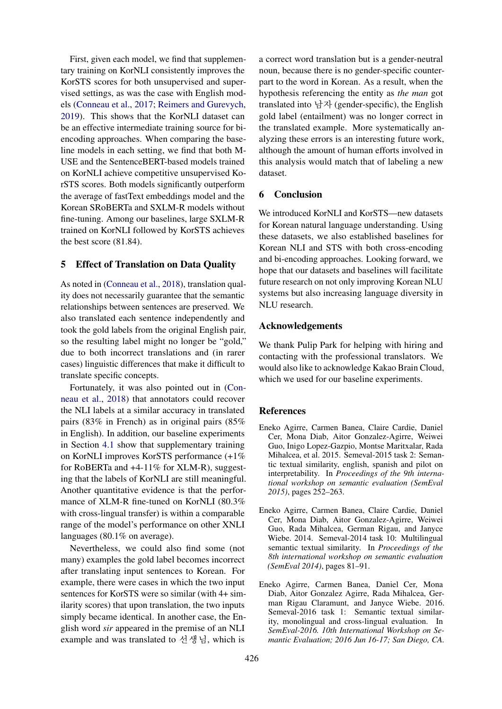First, given each model, we find that supplementary training on KorNLI consistently improves the KorSTS scores for both unsupervised and supervised settings, as was the case with English models [\(Conneau et al.,](#page-5-18) [2017;](#page-5-18) [Reimers and Gurevych,](#page-6-2) [2019\)](#page-6-2). This shows that the KorNLI dataset can be an effective intermediate training source for biencoding approaches. When comparing the baseline models in each setting, we find that both M-USE and the SentenceBERT-based models trained on KorNLI achieve competitive unsupervised KorSTS scores. Both models significantly outperform the average of fastText embeddings model and the Korean SRoBERTa and SXLM-R models without fine-tuning. Among our baselines, large SXLM-R trained on KorNLI followed by KorSTS achieves the best score (81.84).

### <span id="page-4-3"></span>5 Effect of Translation on Data Quality

As noted in [\(Conneau et al.,](#page-5-4) [2018\)](#page-5-4), translation quality does not necessarily guarantee that the semantic relationships between sentences are preserved. We also translated each sentence independently and took the gold labels from the original English pair, so the resulting label might no longer be "gold," due to both incorrect translations and (in rarer cases) linguistic differences that make it difficult to translate specific concepts.

Fortunately, it was also pointed out in [\(Con](#page-5-4)[neau et al.,](#page-5-4) [2018\)](#page-5-4) that annotators could recover the NLI labels at a similar accuracy in translated pairs (83% in French) as in original pairs (85% in English). In addition, our baseline experiments in Section [4.1](#page-2-6) show that supplementary training on KorNLI improves KorSTS performance (+1% for RoBERTa and +4-11% for XLM-R), suggesting that the labels of KorNLI are still meaningful. Another quantitative evidence is that the performance of XLM-R fine-tuned on KorNLI (80.3% with cross-lingual transfer) is within a comparable range of the model's performance on other XNLI languages (80.1% on average).

Nevertheless, we could also find some (not many) examples the gold label becomes incorrect after translating input sentences to Korean. For example, there were cases in which the two input sentences for KorSTS were so similar (with 4+ similarity scores) that upon translation, the two inputs simply became identical. In another case, the English word *sir* appeared in the premise of an NLI example and was translated to 선생님, which is

a correct word translation but is a gender-neutral noun, because there is no gender-specific counterpart to the word in Korean. As a result, when the hypothesis referencing the entity as *the man* got translated into 남자 (gender-specific), the English gold label (entailment) was no longer correct in the translated example. More systematically analyzing these errors is an interesting future work, although the amount of human efforts involved in this analysis would match that of labeling a new dataset.

### 6 Conclusion

We introduced KorNLI and KorSTS—new datasets for Korean natural language understanding. Using these datasets, we also established baselines for Korean NLI and STS with both cross-encoding and bi-encoding approaches. Looking forward, we hope that our datasets and baselines will facilitate future research on not only improving Korean NLU systems but also increasing language diversity in NLU research.

### Acknowledgements

We thank Pulip Park for helping with hiring and contacting with the professional translators. We would also like to acknowledge Kakao Brain Cloud, which we used for our baseline experiments.

### **References**

- <span id="page-4-1"></span>Eneko Agirre, Carmen Banea, Claire Cardie, Daniel Cer, Mona Diab, Aitor Gonzalez-Agirre, Weiwei Guo, Inigo Lopez-Gazpio, Montse Maritxalar, Rada Mihalcea, et al. 2015. Semeval-2015 task 2: Semantic textual similarity, english, spanish and pilot on interpretability. In *Proceedings of the 9th international workshop on semantic evaluation (SemEval 2015)*, pages 252–263.
- <span id="page-4-0"></span>Eneko Agirre, Carmen Banea, Claire Cardie, Daniel Cer, Mona Diab, Aitor Gonzalez-Agirre, Weiwei Guo, Rada Mihalcea, German Rigau, and Janyce Wiebe. 2014. Semeval-2014 task 10: Multilingual semantic textual similarity. In *Proceedings of the 8th international workshop on semantic evaluation (SemEval 2014)*, pages 81–91.
- <span id="page-4-2"></span>Eneko Agirre, Carmen Banea, Daniel Cer, Mona Diab, Aitor Gonzalez Agirre, Rada Mihalcea, German Rigau Claramunt, and Janyce Wiebe. 2016. Semeval-2016 task 1: Semantic textual similarity, monolingual and cross-lingual evaluation. In *SemEval-2016. 10th International Workshop on Semantic Evaluation; 2016 Jun 16-17; San Diego, CA.*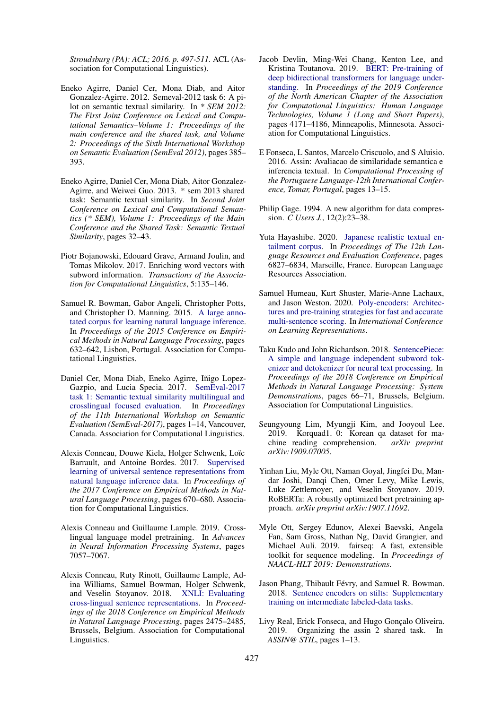*Stroudsburg (PA): ACL; 2016. p. 497-511.* ACL (Association for Computational Linguistics).

- <span id="page-5-8"></span>Eneko Agirre, Daniel Cer, Mona Diab, and Aitor Gonzalez-Agirre. 2012. Semeval-2012 task 6: A pilot on semantic textual similarity. In *\* SEM 2012: The First Joint Conference on Lexical and Computational Semantics–Volume 1: Proceedings of the main conference and the shared task, and Volume 2: Proceedings of the Sixth International Workshop on Semantic Evaluation (SemEval 2012)*, pages 385– 393.
- <span id="page-5-9"></span>Eneko Agirre, Daniel Cer, Mona Diab, Aitor Gonzalez-Agirre, and Weiwei Guo. 2013. \* sem 2013 shared task: Semantic textual similarity. In *Second Joint Conference on Lexical and Computational Semantics (\* SEM), Volume 1: Proceedings of the Main Conference and the Shared Task: Semantic Textual Similarity*, pages 32–43.
- <span id="page-5-17"></span>Piotr Bojanowski, Edouard Grave, Armand Joulin, and Tomas Mikolov. 2017. Enriching word vectors with subword information. *Transactions of the Association for Computational Linguistics*, 5:135–146.
- <span id="page-5-1"></span>Samuel R. Bowman, Gabor Angeli, Christopher Potts, and Christopher D. Manning. 2015. [A large anno](https://doi.org/10.18653/v1/D15-1075)[tated corpus for learning natural language inference.](https://doi.org/10.18653/v1/D15-1075) In *Proceedings of the 2015 Conference on Empirical Methods in Natural Language Processing*, pages 632–642, Lisbon, Portugal. Association for Computational Linguistics.
- <span id="page-5-2"></span>Daniel Cer, Mona Diab, Eneko Agirre, Iñigo Lopez-Gazpio, and Lucia Specia. 2017. [SemEval-2017](https://doi.org/10.18653/v1/S17-2001) [task 1: Semantic textual similarity multilingual and](https://doi.org/10.18653/v1/S17-2001) [crosslingual focused evaluation.](https://doi.org/10.18653/v1/S17-2001) In *Proceedings of the 11th International Workshop on Semantic Evaluation (SemEval-2017)*, pages 1–14, Vancouver, Canada. Association for Computational Linguistics.
- <span id="page-5-18"></span>Alexis Conneau, Douwe Kiela, Holger Schwenk, Loïc Barrault, and Antoine Bordes. 2017. [Supervised](http://aclweb.org/anthology/D17-1070) [learning of universal sentence representations from](http://aclweb.org/anthology/D17-1070) [natural language inference data.](http://aclweb.org/anthology/D17-1070) In *Proceedings of the 2017 Conference on Empirical Methods in Natural Language Processing*, pages 670–680. Association for Computational Linguistics.
- <span id="page-5-16"></span>Alexis Conneau and Guillaume Lample. 2019. Crosslingual language model pretraining. In *Advances in Neural Information Processing Systems*, pages 7057–7067.
- <span id="page-5-4"></span>Alexis Conneau, Ruty Rinott, Guillaume Lample, Adina Williams, Samuel Bowman, Holger Schwenk, and Veselin Stoyanov. 2018. [XNLI: Evaluating](https://doi.org/10.18653/v1/D18-1269) [cross-lingual sentence representations.](https://doi.org/10.18653/v1/D18-1269) In *Proceedings of the 2018 Conference on Empirical Methods in Natural Language Processing*, pages 2475–2485, Brussels, Belgium. Association for Computational Linguistics.
- <span id="page-5-10"></span>Jacob Devlin, Ming-Wei Chang, Kenton Lee, and Kristina Toutanova. 2019. [BERT: Pre-training of](https://doi.org/10.18653/v1/N19-1423) [deep bidirectional transformers for language under](https://doi.org/10.18653/v1/N19-1423)[standing.](https://doi.org/10.18653/v1/N19-1423) In *Proceedings of the 2019 Conference of the North American Chapter of the Association for Computational Linguistics: Human Language Technologies, Volume 1 (Long and Short Papers)*, pages 4171–4186, Minneapolis, Minnesota. Association for Computational Linguistics.
- <span id="page-5-5"></span>E Fonseca, L Santos, Marcelo Criscuolo, and S Aluisio. 2016. Assin: Avaliacao de similaridade semantica e inferencia textual. In *Computational Processing of the Portuguese Language-12th International Conference, Tomar, Portugal*, pages 13–15.
- <span id="page-5-13"></span>Philip Gage. 1994. A new algorithm for data compression. *C Users J.*, 12(2):23–38.
- <span id="page-5-7"></span>Yuta Hayashibe. 2020. [Japanese realistic textual en](https://www.aclweb.org/anthology/2020.lrec-1.843)[tailment corpus.](https://www.aclweb.org/anthology/2020.lrec-1.843) In *Proceedings of The 12th Language Resources and Evaluation Conference*, pages 6827–6834, Marseille, France. European Language Resources Association.
- <span id="page-5-11"></span>Samuel Humeau, Kurt Shuster, Marie-Anne Lachaux, and Jason Weston. 2020. [Poly-encoders: Architec](https://openreview.net/forum?id=SkxgnnNFvH)[tures and pre-training strategies for fast and accurate](https://openreview.net/forum?id=SkxgnnNFvH) [multi-sentence scoring.](https://openreview.net/forum?id=SkxgnnNFvH) In *International Conference on Learning Representations*.
- <span id="page-5-14"></span>Taku Kudo and John Richardson. 2018. [SentencePiece:](https://doi.org/10.18653/v1/D18-2012) [A simple and language independent subword tok](https://doi.org/10.18653/v1/D18-2012)[enizer and detokenizer for neural text processing.](https://doi.org/10.18653/v1/D18-2012) In *Proceedings of the 2018 Conference on Empirical Methods in Natural Language Processing: System Demonstrations*, pages 66–71, Brussels, Belgium. Association for Computational Linguistics.
- <span id="page-5-3"></span>Seungyoung Lim, Myungji Kim, and Jooyoul Lee. 2019. Korquad1. 0: Korean qa dataset for machine reading comprehension. *arXiv preprint arXiv:1909.07005*.
- <span id="page-5-12"></span>Yinhan Liu, Myle Ott, Naman Goyal, Jingfei Du, Mandar Joshi, Danqi Chen, Omer Levy, Mike Lewis, Luke Zettlemoyer, and Veselin Stoyanov. 2019. RoBERTa: A robustly optimized bert pretraining approach. *arXiv preprint arXiv:1907.11692*.
- <span id="page-5-15"></span>Myle Ott, Sergey Edunov, Alexei Baevski, Angela Fan, Sam Gross, Nathan Ng, David Grangier, and Michael Auli. 2019. fairseq: A fast, extensible toolkit for sequence modeling. In *Proceedings of NAACL-HLT 2019: Demonstrations*.
- <span id="page-5-0"></span>Jason Phang, Thibault Févry, and Samuel R. Bowman. 2018. [Sentence encoders on stilts: Supplementary](http://arxiv.org/abs/1811.01088) [training on intermediate labeled-data tasks.](http://arxiv.org/abs/1811.01088)
- <span id="page-5-6"></span>Livy Real, Erick Fonseca, and Hugo Gonçalo Oliveira. 2019. Organizing the assin 2 shared task. In *ASSIN@ STIL*, pages 1–13.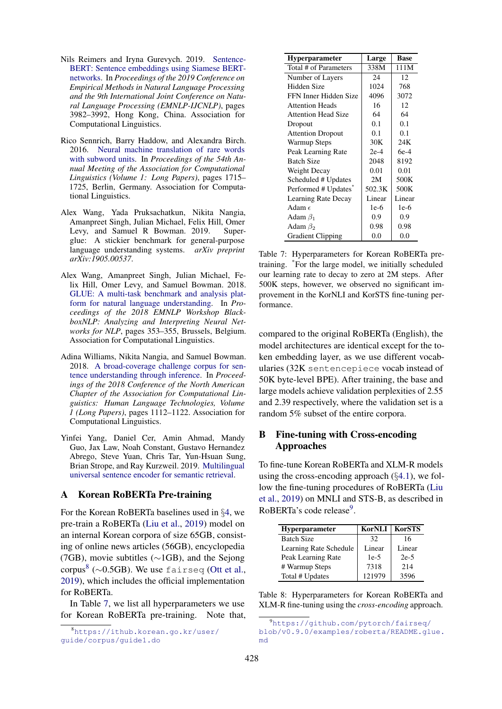- <span id="page-6-2"></span>Nils Reimers and Iryna Gurevych. 2019. [Sentence-](https://doi.org/10.18653/v1/D19-1410)[BERT: Sentence embeddings using Siamese BERT](https://doi.org/10.18653/v1/D19-1410)[networks.](https://doi.org/10.18653/v1/D19-1410) In *Proceedings of the 2019 Conference on Empirical Methods in Natural Language Processing and the 9th International Joint Conference on Natural Language Processing (EMNLP-IJCNLP)*, pages 3982–3992, Hong Kong, China. Association for Computational Linguistics.
- <span id="page-6-4"></span>Rico Sennrich, Barry Haddow, and Alexandra Birch. 2016. [Neural machine translation of rare words](https://doi.org/10.18653/v1/P16-1162) [with subword units.](https://doi.org/10.18653/v1/P16-1162) In *Proceedings of the 54th Annual Meeting of the Association for Computational Linguistics (Volume 1: Long Papers)*, pages 1715– 1725, Berlin, Germany. Association for Computational Linguistics.
- <span id="page-6-1"></span>Alex Wang, Yada Pruksachatkun, Nikita Nangia, Amanpreet Singh, Julian Michael, Felix Hill, Omer Levy, and Samuel R Bowman. 2019. Superglue: A stickier benchmark for general-purpose language understanding systems. *arXiv preprint arXiv:1905.00537*.
- <span id="page-6-0"></span>Alex Wang, Amanpreet Singh, Julian Michael, Felix Hill, Omer Levy, and Samuel Bowman. 2018. [GLUE: A multi-task benchmark and analysis plat](https://doi.org/10.18653/v1/W18-5446)[form for natural language understanding.](https://doi.org/10.18653/v1/W18-5446) In *Proceedings of the 2018 EMNLP Workshop BlackboxNLP: Analyzing and Interpreting Neural Networks for NLP*, pages 353–355, Brussels, Belgium. Association for Computational Linguistics.
- <span id="page-6-3"></span>Adina Williams, Nikita Nangia, and Samuel Bowman. 2018. [A broad-coverage challenge corpus for sen](http://aclweb.org/anthology/N18-1101)[tence understanding through inference.](http://aclweb.org/anthology/N18-1101) In *Proceedings of the 2018 Conference of the North American Chapter of the Association for Computational Linguistics: Human Language Technologies, Volume 1 (Long Papers)*, pages 1112–1122. Association for Computational Linguistics.
- <span id="page-6-5"></span>Yinfei Yang, Daniel Cer, Amin Ahmad, Mandy Guo, Jax Law, Noah Constant, Gustavo Hernandez Abrego, Steve Yuan, Chris Tar, Yun-Hsuan Sung, Brian Strope, and Ray Kurzweil. 2019. [Multilingual](http://arxiv.org/abs/1907.04307) [universal sentence encoder for semantic retrieval.](http://arxiv.org/abs/1907.04307)

### A Korean RoBERTa Pre-training

For the Korean RoBERTa baselines used in §[4,](#page-2-7) we pre-train a RoBERTa [\(Liu et al.,](#page-5-12) [2019\)](#page-5-12) model on an internal Korean corpora of size 65GB, consisting of online news articles (56GB), encyclopedia (7GB), movie subtitles (∼1GB), and the Sejong corpus<sup>[8](#page-6-6)</sup> ( $\sim$ 0.5GB). We use fairseq [\(Ott et al.,](#page-5-15) [2019\)](#page-5-15), which includes the official implementation for RoBERTa.

In Table [7,](#page-6-7) we list all hyperparameters we use for Korean RoBERTa pre-training. Note that,

<span id="page-6-7"></span>

| <b>Hyperparameter</b>      | Large  | <b>Base</b> |
|----------------------------|--------|-------------|
| Total # of Parameters      | 338M   | 111M        |
| Number of Layers           | 24     | 12          |
| Hidden Size                | 1024   | 768         |
| FFN Inner Hidden Size      | 4096   | 3072        |
| <b>Attention Heads</b>     | 16     | 12          |
| <b>Attention Head Size</b> | 64     | 64          |
| Dropout                    | 0.1    | 0.1         |
| <b>Attention Dropout</b>   | 0.1    | 0.1         |
| <b>Warmup Steps</b>        | 30K    | 24K         |
| Peak Learning Rate         | $2e-4$ | $6e-4$      |
| <b>Batch Size</b>          | 2048   | 8192        |
| Weight Decay               | 0.01   | 0.01        |
| Scheduled # Updates        | 2M     | 500K        |
| Performed # Updates        | 502.3K | 500K        |
| Learning Rate Decay        | Linear | Linear      |
| Adam $\epsilon$            | $1e-6$ | $1e-6$      |
| Adam $\beta_1$             | 0.9    | 0.9         |
| Adam $\beta_2$             | 0.98   | 0.98        |
| <b>Gradient Clipping</b>   | 0.0    | 0.0         |

Table 7: Hyperparameters for Korean RoBERTa pretraining. \*For the large model, we initially scheduled our learning rate to decay to zero at 2M steps. After 500K steps, however, we observed no significant improvement in the KorNLI and KorSTS fine-tuning performance.

compared to the original RoBERTa (English), the model architectures are identical except for the token embedding layer, as we use different vocabularies (32K sentencepiece vocab instead of 50K byte-level BPE). After training, the base and large models achieve validation perplexities of 2.55 and 2.39 respectively, where the validation set is a random 5% subset of the entire corpora.

# B Fine-tuning with Cross-encoding Approaches

To fine-tune Korean RoBERTa and XLM-R models using the cross-encoding approach  $(\S 4.1)$  $(\S 4.1)$ , we follow the fine-tuning procedures of RoBERTa [\(Liu](#page-5-12) [et al.,](#page-5-12) [2019\)](#page-5-12) on MNLI and STS-B, as described in RoBERTa's code release<sup>[9](#page-6-8)</sup>.

<span id="page-6-9"></span>

| <b>Hyperparameter</b>  | KorNLI | <b>KorSTS</b> |
|------------------------|--------|---------------|
| <b>Batch Size</b>      | 32     | 16            |
| Learning Rate Schedule | Linear | Linear        |
| Peak Learning Rate     | $1e-5$ | $2e-5$        |
| # Warmup Steps         | 7318   | 2.14          |
| Total # Updates        | 121979 | 3596          |

Table 8: Hyperparameters for Korean RoBERTa and XLM-R fine-tuning using the *cross-encoding* approach.

<span id="page-6-6"></span><sup>8</sup>[https://ithub.korean.go.kr/user/](https://ithub.korean.go.kr/user/guide/corpus/guide1.do) [guide/corpus/guide1.do](https://ithub.korean.go.kr/user/guide/corpus/guide1.do)

<span id="page-6-8"></span><sup>9</sup>[https://github.com/pytorch/fairseq/](https://github.com/pytorch/fairseq/blob/v0.9.0/examples/roberta/README.glue.md) [blob/v0.9.0/examples/roberta/README.glue.](https://github.com/pytorch/fairseq/blob/v0.9.0/examples/roberta/README.glue.md) [md](https://github.com/pytorch/fairseq/blob/v0.9.0/examples/roberta/README.glue.md)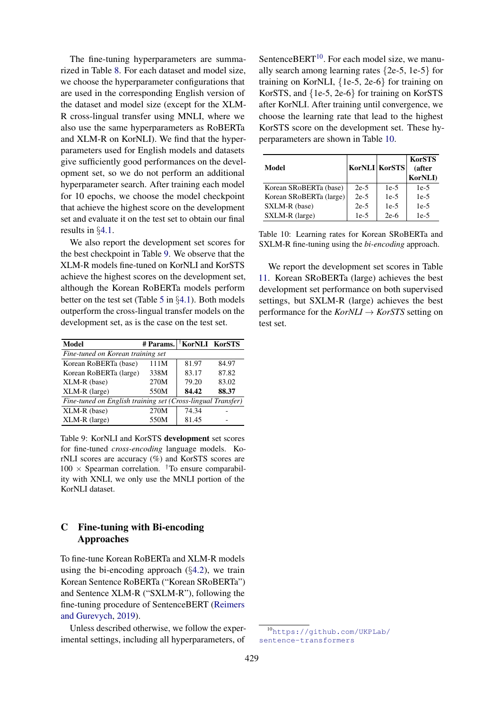The fine-tuning hyperparameters are summarized in Table [8.](#page-6-9) For each dataset and model size, we choose the hyperparameter configurations that are used in the corresponding English version of the dataset and model size (except for the XLM-R cross-lingual transfer using MNLI, where we also use the same hyperparameters as RoBERTa and XLM-R on KorNLI). We find that the hyperparameters used for English models and datasets give sufficiently good performances on the development set, so we do not perform an additional hyperparameter search. After training each model for 10 epochs, we choose the model checkpoint that achieve the highest score on the development set and evaluate it on the test set to obtain our final results in §[4.1.](#page-2-6)

We also report the development set scores for the best checkpoint in Table [9.](#page-7-0) We observe that the XLM-R models fine-tuned on KorNLI and KorSTS achieve the highest scores on the development set, although the Korean RoBERTa models perform better on the test set (Table [5](#page-2-5) in §[4.1\)](#page-2-6). Both models outperform the cross-lingual transfer models on the development set, as is the case on the test set.

<span id="page-7-0"></span>

| <b>Model</b>                                                | # Params.   KorNLI KorSTS |       |       |
|-------------------------------------------------------------|---------------------------|-------|-------|
| Fine-tuned on Korean training set                           |                           |       |       |
| Korean RoBERTa (base)                                       | 111M                      | 81.97 | 84.97 |
| Korean RoBERTa (large)                                      | 338M                      | 83.17 | 87.82 |
| XLM-R (base)                                                | 270M                      | 79.20 | 83.02 |
| $XLM-R$ (large)                                             | 550M                      | 84.42 | 88.37 |
| Fine-tuned on English training set (Cross-lingual Transfer) |                           |       |       |
| XLM-R (base)                                                | 270M                      | 74.34 |       |
| $XLM-R$ (large)                                             | 550M                      | 81.45 |       |

Table 9: KorNLI and KorSTS development set scores for fine-tuned *cross-encoding* language models. KorNLI scores are accuracy (%) and KorSTS scores are  $100 \times$  Spearman correlation. <sup>†</sup>To ensure comparability with XNLI, we only use the MNLI portion of the KorNLI dataset.

# C Fine-tuning with Bi-encoding Approaches

To fine-tune Korean RoBERTa and XLM-R models using the bi-encoding approach  $(\S4.2)$  $(\S4.2)$ , we train Korean Sentence RoBERTa ("Korean SRoBERTa") and Sentence XLM-R ("SXLM-R"), following the fine-tuning procedure of SentenceBERT [\(Reimers](#page-6-2) [and Gurevych,](#page-6-2) [2019\)](#page-6-2).

Unless described otherwise, we follow the experimental settings, including all hyperparameters, of

SentenceBERT $^{10}$  $^{10}$  $^{10}$ . For each model size, we manually search among learning rates {2e-5, 1e-5} for training on KorNLI, {1e-5, 2e-6} for training on KorSTS, and {1e-5, 2e-6} for training on KorSTS after KorNLI. After training until convergence, we choose the learning rate that lead to the highest KorSTS score on the development set. These hyperparameters are shown in Table [10.](#page-7-2)

<span id="page-7-2"></span>

| Model                   | <b>KorNLI KorSTS</b> |        | <b>KorSTS</b><br>(after<br><b>KorNLI</b> ) |
|-------------------------|----------------------|--------|--------------------------------------------|
| Korean SRoBERTa (base)  | $2e-5$               | $1e-5$ | $1e-5$                                     |
| Korean SRoBERTa (large) | $2e-5$               | $1e-5$ | $1e-5$                                     |
| SXLM-R (base)           | $2e-5$               | $1e-5$ | $1e-5$                                     |
| SXLM-R (large)          | $1e-5$               | $2e-6$ | $1e-5$                                     |

Table 10: Learning rates for Korean SRoBERTa and SXLM-R fine-tuning using the *bi-encoding* approach.

We report the development set scores in Table [11.](#page-8-0) Korean SRoBERTa (large) achieves the best development set performance on both supervised settings, but SXLM-R (large) achieves the best performance for the  $KorNLI \rightarrow KorSTS$  setting on test set.

<span id="page-7-1"></span><sup>10</sup>[https://github.com/UKPLab/](https://github.com/UKPLab/sentence-transformers) [sentence-transformers](https://github.com/UKPLab/sentence-transformers)